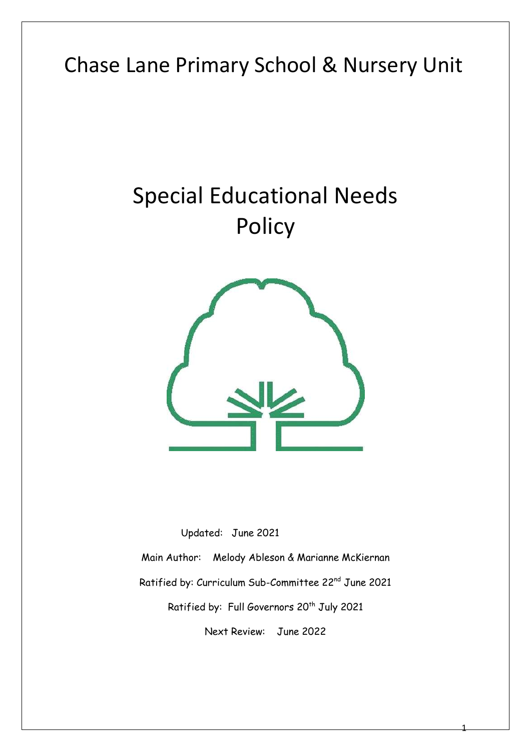# Chase Lane Primary School & Nursery Unit

# Special Educational Needs Policy



 Updated: June 2021 Main Author: Melody Ableson & Marianne McKiernan Ratified by: Curriculum Sub-Committee 22nd June 2021 Ratified by: Full Governors 20<sup>th</sup> July 2021 Next Review: June 2022

1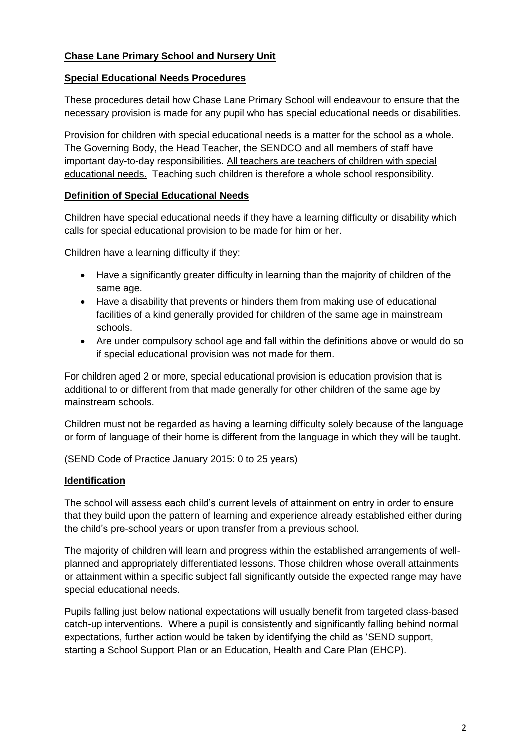#### **Chase Lane Primary School and Nursery Unit**

#### **Special Educational Needs Procedures**

These procedures detail how Chase Lane Primary School will endeavour to ensure that the necessary provision is made for any pupil who has special educational needs or disabilities.

Provision for children with special educational needs is a matter for the school as a whole. The Governing Body, the Head Teacher, the SENDCO and all members of staff have important day-to-day responsibilities. All teachers are teachers of children with special educational needs. Teaching such children is therefore a whole school responsibility.

#### **Definition of Special Educational Needs**

Children have special educational needs if they have a learning difficulty or disability which calls for special educational provision to be made for him or her.

Children have a learning difficulty if they:

- Have a significantly greater difficulty in learning than the majority of children of the same age.
- Have a disability that prevents or hinders them from making use of educational facilities of a kind generally provided for children of the same age in mainstream schools.
- Are under compulsory school age and fall within the definitions above or would do so if special educational provision was not made for them.

For children aged 2 or more, special educational provision is education provision that is additional to or different from that made generally for other children of the same age by mainstream schools.

Children must not be regarded as having a learning difficulty solely because of the language or form of language of their home is different from the language in which they will be taught.

(SEND Code of Practice January 2015: 0 to 25 years)

#### **Identification**

The school will assess each child's current levels of attainment on entry in order to ensure that they build upon the pattern of learning and experience already established either during the child's pre-school years or upon transfer from a previous school.

The majority of children will learn and progress within the established arrangements of wellplanned and appropriately differentiated lessons. Those children whose overall attainments or attainment within a specific subject fall significantly outside the expected range may have special educational needs.

Pupils falling just below national expectations will usually benefit from targeted class-based catch-up interventions. Where a pupil is consistently and significantly falling behind normal expectations, further action would be taken by identifying the child as 'SEND support, starting a School Support Plan or an Education, Health and Care Plan (EHCP).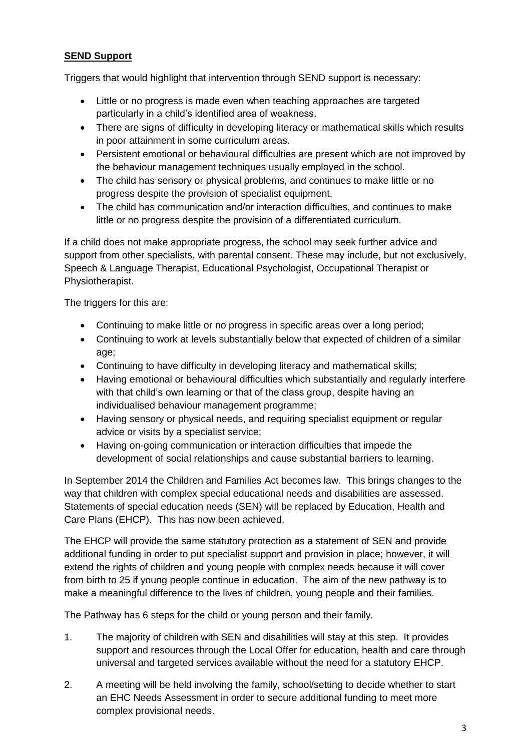#### **SEND Support**

Triggers that would highlight that intervention through SEND support is necessary:

- Little or no progress is made even when teaching approaches are targeted particularly in a child's identified area of weakness.
- There are signs of difficulty in developing literacy or mathematical skills which results in poor attainment in some curriculum areas.
- Persistent emotional or behavioural difficulties are present which are not improved by the behaviour management techniques usually employed in the school.
- The child has sensory or physical problems, and continues to make little or no progress despite the provision of specialist equipment.
- The child has communication and/or interaction difficulties, and continues to make little or no progress despite the provision of a differentiated curriculum.

If a child does not make appropriate progress, the school may seek further advice and support from other specialists, with parental consent. These may include, but not exclusively, Speech & Language Therapist, Educational Psychologist, Occupational Therapist or Physiotherapist.

The triggers for this are:

- Continuing to make little or no progress in specific areas over a long period;
- Continuing to work at levels substantially below that expected of children of a similar age;
- Continuing to have difficulty in developing literacy and mathematical skills;
- Having emotional or behavioural difficulties which substantially and regularly interfere with that child's own learning or that of the class group, despite having an individualised behaviour management programme;
- Having sensory or physical needs, and requiring specialist equipment or regular advice or visits by a specialist service;
- Having on-going communication or interaction difficulties that impede the development of social relationships and cause substantial barriers to learning.

In September 2014 the Children and Families Act becomes law. This brings changes to the way that children with complex special educational needs and disabilities are assessed. Statements of special education needs (SEN) will be replaced by Education, Health and Care Plans (EHCP). This has now been achieved.

The EHCP will provide the same statutory protection as a statement of SEN and provide additional funding in order to put specialist support and provision in place; however, it will extend the rights of children and young people with complex needs because it will cover from birth to 25 if young people continue in education. The aim of the new pathway is to make a meaningful difference to the lives of children, young people and their families.

The Pathway has 6 steps for the child or young person and their family.

- 1. The majority of children with SEN and disabilities will stay at this step. It provides support and resources through the Local Offer for education, health and care through universal and targeted services available without the need for a statutory EHCP.
- 2. A meeting will be held involving the family, school/setting to decide whether to start an EHC Needs Assessment in order to secure additional funding to meet more complex provisional needs.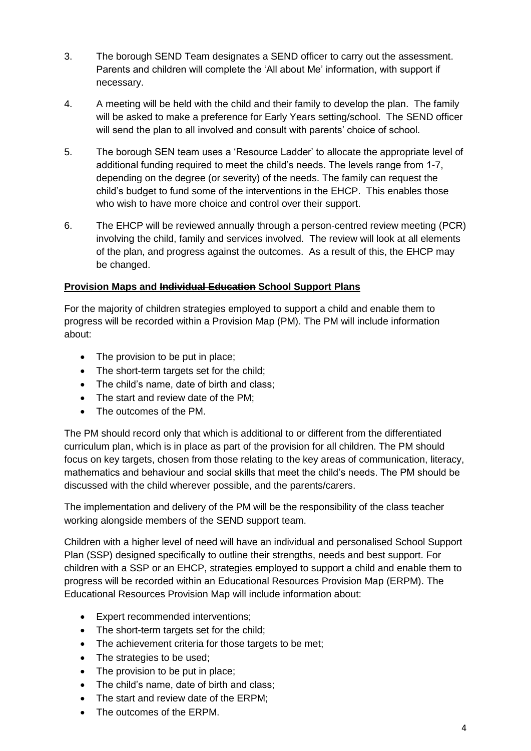- 3. The borough SEND Team designates a SEND officer to carry out the assessment. Parents and children will complete the 'All about Me' information, with support if necessary.
- 4. A meeting will be held with the child and their family to develop the plan. The family will be asked to make a preference for Early Years setting/school. The SEND officer will send the plan to all involved and consult with parents' choice of school.
- 5. The borough SEN team uses a 'Resource Ladder' to allocate the appropriate level of additional funding required to meet the child's needs. The levels range from 1-7, depending on the degree (or severity) of the needs. The family can request the child's budget to fund some of the interventions in the EHCP. This enables those who wish to have more choice and control over their support.
- 6. The EHCP will be reviewed annually through a person-centred review meeting (PCR) involving the child, family and services involved. The review will look at all elements of the plan, and progress against the outcomes. As a result of this, the EHCP may be changed.

#### **Provision Maps and Individual Education School Support Plans**

For the majority of children strategies employed to support a child and enable them to progress will be recorded within a Provision Map (PM). The PM will include information about:

- The provision to be put in place;
- The short-term targets set for the child:
- The child's name, date of birth and class;
- The start and review date of the PM:
- The outcomes of the PM.

The PM should record only that which is additional to or different from the differentiated curriculum plan, which is in place as part of the provision for all children. The PM should focus on key targets, chosen from those relating to the key areas of communication, literacy, mathematics and behaviour and social skills that meet the child's needs. The PM should be discussed with the child wherever possible, and the parents/carers.

The implementation and delivery of the PM will be the responsibility of the class teacher working alongside members of the SEND support team.

Children with a higher level of need will have an individual and personalised School Support Plan (SSP) designed specifically to outline their strengths, needs and best support. For children with a SSP or an EHCP, strategies employed to support a child and enable them to progress will be recorded within an Educational Resources Provision Map (ERPM). The Educational Resources Provision Map will include information about:

- Expert recommended interventions;
- The short-term targets set for the child;
- The achievement criteria for those targets to be met;
- The strategies to be used;
- The provision to be put in place;
- The child's name, date of birth and class;
- The start and review date of the ERPM:
- The outcomes of the ERPM.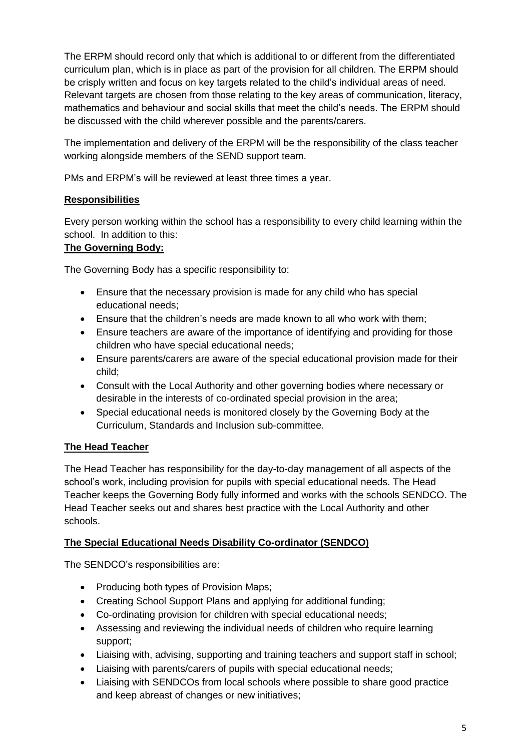The ERPM should record only that which is additional to or different from the differentiated curriculum plan, which is in place as part of the provision for all children. The ERPM should be crisply written and focus on key targets related to the child's individual areas of need. Relevant targets are chosen from those relating to the key areas of communication, literacy, mathematics and behaviour and social skills that meet the child's needs. The ERPM should be discussed with the child wherever possible and the parents/carers.

The implementation and delivery of the ERPM will be the responsibility of the class teacher working alongside members of the SEND support team.

PMs and ERPM's will be reviewed at least three times a year.

## **Responsibilities**

Every person working within the school has a responsibility to every child learning within the school. In addition to this:

#### **The Governing Body:**

The Governing Body has a specific responsibility to:

- Ensure that the necessary provision is made for any child who has special educational needs;
- Ensure that the children's needs are made known to all who work with them;
- Ensure teachers are aware of the importance of identifying and providing for those children who have special educational needs;
- Ensure parents/carers are aware of the special educational provision made for their child;
- Consult with the Local Authority and other governing bodies where necessary or desirable in the interests of co-ordinated special provision in the area;
- Special educational needs is monitored closely by the Governing Body at the Curriculum, Standards and Inclusion sub-committee.

## **The Head Teacher**

The Head Teacher has responsibility for the day-to-day management of all aspects of the school's work, including provision for pupils with special educational needs. The Head Teacher keeps the Governing Body fully informed and works with the schools SENDCO. The Head Teacher seeks out and shares best practice with the Local Authority and other schools.

#### **The Special Educational Needs Disability Co-ordinator (SENDCO)**

The SENDCO's responsibilities are:

- Producing both types of Provision Maps;
- Creating School Support Plans and applying for additional funding;
- Co-ordinating provision for children with special educational needs;
- Assessing and reviewing the individual needs of children who require learning support;
- Liaising with, advising, supporting and training teachers and support staff in school;
- Liaising with parents/carers of pupils with special educational needs;
- Liaising with SENDCOs from local schools where possible to share good practice and keep abreast of changes or new initiatives;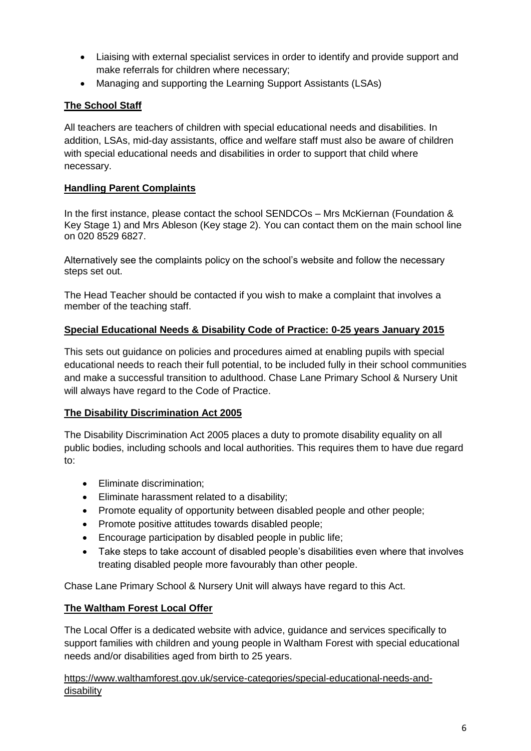- Liaising with external specialist services in order to identify and provide support and make referrals for children where necessary;
- Managing and supporting the Learning Support Assistants (LSAs)

#### **The School Staff**

All teachers are teachers of children with special educational needs and disabilities. In addition, LSAs, mid-day assistants, office and welfare staff must also be aware of children with special educational needs and disabilities in order to support that child where necessary.

#### **Handling Parent Complaints**

In the first instance, please contact the school SENDCOs – Mrs McKiernan (Foundation & Key Stage 1) and Mrs Ableson (Key stage 2). You can contact them on the main school line on 020 8529 6827.

Alternatively see the complaints policy on the school's website and follow the necessary steps set out.

The Head Teacher should be contacted if you wish to make a complaint that involves a member of the teaching staff.

#### **Special Educational Needs & Disability Code of Practice: 0-25 years January 2015**

This sets out guidance on policies and procedures aimed at enabling pupils with special educational needs to reach their full potential, to be included fully in their school communities and make a successful transition to adulthood. Chase Lane Primary School & Nursery Unit will always have regard to the Code of Practice.

#### **The Disability Discrimination Act 2005**

The Disability Discrimination Act 2005 places a duty to promote disability equality on all public bodies, including schools and local authorities. This requires them to have due regard to:

- Eliminate discrimination:
- Eliminate harassment related to a disability;
- Promote equality of opportunity between disabled people and other people:
- Promote positive attitudes towards disabled people;
- Encourage participation by disabled people in public life;
- Take steps to take account of disabled people's disabilities even where that involves treating disabled people more favourably than other people.

Chase Lane Primary School & Nursery Unit will always have regard to this Act.

#### **The Waltham Forest Local Offer**

The Local Offer is a dedicated website with advice, guidance and services specifically to support families with children and young people in Waltham Forest with special educational needs and/or disabilities aged from birth to 25 years.

[https://www.walthamforest.gov.uk/service-categories/special-educational-needs-and](https://www.walthamforest.gov.uk/service-categories/special-educational-needs-and-disability)[disability](https://www.walthamforest.gov.uk/service-categories/special-educational-needs-and-disability)